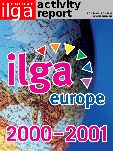# ilga**europe activity report 8 Oct. 2000 - 23 Oct. 2001**

**www.ilga-europe.org**

# 2001

europe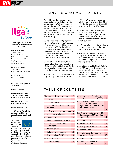

**The European Region of the International Lesbian and Gay Association**

Avenue de Tervueren/ Tervurenlaan 94/1 B-1040 Brussels phone +32 2 732 54 88 fax +32 2 732 51 64 info@ilga-europe.org www.ilga-europe.org

Bank account # 001- 3523388-36 Fortis Bank, Vooruitgangstraat 333/9, B-1030 Brussels SWIFT: GEBABEEB

### **ILGA-Europe Activity Report 2000-2001**

**Editor:** Kurt Krickler

**Contributors:** Nico J. Beger, Tatjana Greif, Pierre Noël, Mette Vadstrup, Nigel Warner.

**Design & Layout:** Christian Högl (www.creativbox.at)

**Printer:** Sofadi, Brussels

**© ILGA-Europe. Reproduction permitted, provided that appropriate reference is made to the source.**

This Annual Report is published with the support of the



European Commission – The European Union against discrimination. The information contained in this publication does not necessarily reflect the position or opinion of the European Commission. It is not liable for any use that may be made of this information.

# THANKS & ACKNOWLEDGEMENTS

We would like to thank everybody who supported the work of the Board over the last twelve months. Without the commitment and donations of many people and the financial and other support of many (member) organisations this work would not have been possible. We cannot mention them all here but special thanks have to go to the following:

- ◗ Steffen Jensen who, as outgoing treasurer, continued to take care of ILGA-Europe's finances and accounts until the end of the calendar year 2000. Together with other activists of the Danish national gay and lesbian association *LBL* he also continued to publish the *Euro-Letter* on behalf of ILGA-Europe, and on top of that remained in charge of our web-site;
- ◗ Mark Bell, Robert Wintemute, Alberto Volpato, Tom Hoemig, Enrique Góngora, Cathal Kelly, Gerhard Grühn, and Monika Wienbeck who have supported us with expertise, volunteer and fundraising work;
- ◗ the *Heinrich-Böll-Stiftung* (Germany), the Open Society Institute (OSI) in Budapest,

*HIVOS* (the Netherlands), *Homosexuelle Selbsthilfe e. V.* (Germany), and the City of Rotterdam for generously funding specific projects and activities of ILGA-Europe;

- ◗ *Homosexuelle Initiative (HOSI) Wien* (Austria), UNISON, the public sector union in the United Kingdom, and *Federatie Werkgroepen Homoseksualiteit* (Belgium) for substantial financial contributions to our work;
- ◗ the European Commission for granting us core funding and its anti-discrimination unit for the good co-operation;
- ◗ MEPs Michael Cashman, Joke Swiebel, Patsy Sörensen, Lousewies van der Laan, and Baroness Sarah Ludford for their commitment to support LGBT issues in the European Parliament;
- ◗ and last but not least to Claudia Roth, former MEP and now chair-person of the German Green Party, who has been a long-term friend of ILGA and came to the opening party of our new office to coin its new name: "LGBT embassy in Brussels".

C. Organization for Security and

# TABLE OF CONTENTS

| Thanks and acknowledgements                      | 2  |  |
|--------------------------------------------------|----|--|
| Introduction                                     | 3  |  |
| A. European Union                                | 4  |  |
| 1. Article 13 anti-discrimination<br>initiatives | 4  |  |
| 2. EU Charter of Fundamental Rights              | 5  |  |
| 3. Asylum and immigration                        | 6  |  |
| 4. EU enlargement                                | 7  |  |
| 5. Human rights in member states                 | 8  |  |
| 6. The EU and third country<br>human rights      | 9  |  |
| 7. Other EU programmes                           | 10 |  |
| 8. Civil and social dialogues                    | 11 |  |
| 9. Mainstreaming of LGBT issues                  | 11 |  |
| Other EU activities                              |    |  |
| <b>B.</b> Council of Europe                      | 12 |  |

| Co-operation in Europe (OSCE)                                                                                             | 13 |
|---------------------------------------------------------------------------------------------------------------------------|----|
| D. Programme of activities in<br>support of LGBT human rights<br>organisations in Central, Eastern<br>and Southern Europe | 14 |
| E. Actions to counter human rights<br>abuses against LGBT and HIV+<br>people in Europe                                    | 14 |
| F. HIV/AIDS prevention                                                                                                    | 15 |
| G. Transgender issues                                                                                                     | 15 |
| H. Development of ILGA-Europe                                                                                             | 16 |
| I. Other activities                                                                                                       | 16 |
| J. Board membership, meetings<br>and board officers                                                                       | 17 |
| K. Financial Report 2000                                                                                                  | 18 |
| L. Calendar of meetings &<br>travels 2000-2001                                                                            | 19 |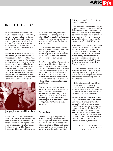# INTRODUCTION

Since its foundation in December 1996, ILGA-Europe has produced annual activity reports of its executive board for the periods between two consecutive annual conferences – which since are held in October each year. The period between two annual conferences is also the period for which the annual conference adopts the Work Programme of ILGA-Europe.

With this report, however, we alter its format in two ways. There is the obvious outward appearance: thanks to EU funding we are able to have a proper layout and design and to print the report instead of just photocopying typed pages. Additionally, we have altered the way of reporting. In order to make it easier to relate the reported activities to the Work Programme 2000- 2001, we have included the various items and paragraphs from the Work Programme, as adopted last year in Bucharest, in the corresponding sections of this report.



**Employees Mette Vadstrup and Olivier Collet in the new office**

Background information on the various activities and the developments leading up to the current situations can be found in the previous annual board reports, which are all available at our web-site, and in the two issues of our new *ILGA-Europe Newsletter,* that have been published so far, and of course the monthly *Euro-Letter,* which has continued to be published, on behalf of ILGA-Europe, by the international section of the Danish national gay and lesbian association *LBL (Landsforeningen for bøsser og lesbiske).*

On the following pages you will thus find a detailed report on the manifold activities of ILGA-Europe. In summary we can say without exaggeration that the activity period 2000-2001 was the most successful so far in the history of ILGA-Europe.

One of the most significant factors that has made this possible is the core funding ILGA-Europe has been receiving from the European Commission as from 1 December 2000. We were able to employ two people, Mette Vadstrup as full-time information officer, and Olivier Collet, as half-time administration officer, from February 2001 and to rent office space in Brussels as of 15 February 2001. This certainly has made a big difference.

We can also report that ILGA-Europe is – finally – registered as an international nonprofit non-governmental organisation under Belgian law as of 10 August 2001. The last thing to do in this context is to have the registration and necessary documentation published in the official journal of Belgium, the *Moniteur belge,* which is under way.

### **Perspectives**

The Board has only recently found the time to consider the larger future direction of ILGA-Europe. With the office now up and in operation we are able to consider what future possibilities could open up to us and how the work can be best managed. So far four broad areas of work have been identi-

fied as cornerstones for the future development of ILGA-Europe:

1. A continuation of our focus on non-geographical LGBT issues, such as increasingly taking into consideration the need for projects in the field of sexual orientation/gender identity and racism, ageism or disability discrimination in LGBT communities as well as taking into consideration specific cultural needs of certain LGBT groups;

2. A continuous focus on skill building and development work in non-EU countries. This area of work needs specific fundraising activities beyond our core funding that is restricted to EU work. ILGA-Europe will remain strongly committed to not letting EU funding regulations restrict the geographical area of work for ILGA-Europe. The past year has already included a clear focus on this area;

3. Focusing more on the issues of family and youth which still present the biggest stumbling block to LGBT equality in Europe. Here ILGA-Europe aims to become an information and resource place for this crucial debate;

4. Defining the needs and issues of transgender communities in Europe and consequently increasing ILGA-Europe's own skills in arguing against gender identity discrimination and making the T in LGBT a visible and strong tenet of our work.

The immediate task to establish our work in the direction of those four cornerstones will involve a closer study of realisation options. Primarily this means an assessment of tasks and human resources in and around the board as well as in the office with the aim to develop a long-term perspective of our human resource and funding needs. The board will seek to stabilise funding from other sources outside the EU Commission to assure our broad focus of work can continuously be developed.

> THE EXECUTIVE BOARD OF ILGA-EUROPE Brussels, October 2001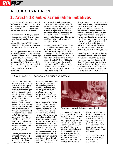# ilga**europe activity report**

# A. EUROPEAN UNION

# **1. Article 13 anti-discrimination initiatives**

On 17 October 2000 the Employment and Social Affairs Ministers Council in Luxembourg agreed the first two measures based on Article 13 EC (Treaty of Amsterdam) that also deal with sexual orientation:

- ◗ Council Directive 2000/78/EC establishing a general framework for equal treatment in employment and occupation, and
- ◗ Council Decision 2000/750/EC establishing a Community action programme to combat discrimination (2001 to 2006).

ILGA-Europe welcomed these achievements in a media release on 24 October (see *Euro-Letter* # 83, October 2000). The formal legal adoption of the two measures was then done by the European Council on 27 November 2000. On 2 December, both the Directive and the Decision were published in the Official Journal of the European Communities (L 303, p. 16 and p. 23 respectively).

This is indeed a historic development. It means nothing less than that 15 member states and 13 accession countries will have to introduce, by December 2003, anti-discrimination legislation at national level prohibiting, inter alia, discrimination on the grounds of sexual orientation in employment and occupation. ILGA-Europe publicised this landmark achievement through its channels.

Working together, mobilising and motivating its member organisations both in the EU member states and the accession countries to make the best possible use of this unique opportunity was also a main issue at the first meeting of the ILGA-Europe EU national co-ordination network that took place in Brussels, 14-15 July 2001 (see box below). As a follow-up to the network meeting, a "guide" for implementing the framework directive was produced and sent to member organisations in these 28 countries in early October 2001.

Likewise it was one of ILGA-Europe's main tasks in 2001 to closely follow the developments concerning the Community action programme and to reach out to its constituency with up-dated information, in particular with regard to the launch of the programme and first calls for proposals, and to explain the rather complicated format of the programme and these first calls. Information was disseminated by e-mail and posted on the web-site. It was also published in the *Euro-Letter* (# 88, May 2001) and the first issues of the *ILGA-Europe Newsletter* in May and August 2001.

In order to gain first-hand information, we had attended the European Commission's information meeting on the implementation of the programme in Brussels on 26 March. The action programme was also a prominent item of discussion at the biannual meetings between the Commission and the Platform of European Social NGOs on 7 November 2000 and 27 February 2001.

### ILGA-Europe EU national co-ordination network

ILGA-Europe's activity programme agreed in its funding contract with the European Commission provides for communication and co-operation with nationally organised member organisations. It is our task to reach out to our member organisations in the EU member states and inform them about relevant developments at EU level, and ILGA-Europe needs the input from its members about developments at the national level relevant in the European context. ILGA-Europe will also channel information on LGBT issues from its members to the Commission and, therefore, needs to consult its member organisations with regard to formulating demands and policies.

Moreover, co-ordinated lobbying both at the national level in all member states and at EU level is a crucial precondition to achieve progress

in our struggle for equality and our fight against discrimination. Most things decided in Brussels need to be agreed by national governments, and have to be implemented by national governments. Therefore, lobbying at national level is as important as at EU level.

A great deal of the work ILGA-Europe is doing is to represent the LGBT perspective in the legislative process in the European institutions. In order to benefit even more from this work, the national associations need to be closely informed about ILGA-Europe's activities and become involved and carry the pressure on to the implementing phase at national level. The national associations and networks have always been an important source and inspiration for the activities of ILGA-Europe, and by combining and co-ordinating efforts, this will lead to more efficient work and benefits for the European



**The first network meeting took place on 14 and15 July 2001**

LGBT movement as a whole. For this purpose, ILGA-Europe has established an "EU national co-ordination network" made up of representatives of nationally organised member organisations in each of the 15 member states. We approached organisations and individuals with whom we already have had good co-operation and working relations in the past, who have shown interest in European Union matters and commitment and ability to

dedicate time and resources to deal with European issues at national level, and who play a key role in their country, having "access" to their government. ILGA-Europe has budgeted annual meetings of this new network in its core funding applications to the Commission.

The first meeting of the network also received funding from the *Heinrich-Böll-Stiftung* in Berlin.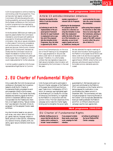ILGA-Europe expects to continue receiving core funding under this programme. Thus, we have also had regular contacts with Commission officials discussing the core funding possibility, and we will also attend the European conference on the Community action programme to be organised by the Commission in Brussels on 18-19 October 2001.

At the November 2000 biannual meeting we explicitly asked whether the Commission intended to come forward with additional proposals for Directives prohibiting discrimination, inter alia on sexual orientation, in other areas of Community competence, such as the provision of and the access to goods and services. Odile Quintin, directorgeneral of DG Employment, declared resolutely that the Commission would not reopen the debate on further Article 13 measures in the immediate future, although the European Year on Disability in 2003 could create potential for further advances.

A similar question posed by ILGA-Europe representative Nigel Warner to Commis-

### **Work programme 2000/2001**

### Article 13 anti-discrimination initiatives

**Maximise the benefits of the Article 13 anti-discrimination provisions by:** 

◗ **Continuing to work for the implementation of the proposed general framework directive for equal treatment in employment and occupation and of the proposed Anti-discrimination Action Programme. Once the latter is approved by EU, inform**

sioner Anna Diamantopoulou on the occasion of the EP hearing on EU enlargement from a gay perspective on 28 June (see below under item A.4) received a similar answer. Therefore, it is unfortunately unlikely that new legislative measures to fight sexual orientation discrimination will be prepared by the Commission in the next

**member organisations of relevant Calls for Proposals.**

◗ **Working for the development of a proposal by the Commission for a directive covering discrimination in areas other than employment (within the limits of the powers of the Community), e. g. education, access to and supply of goods and services, healthcare, housing and**

**social protection (to cover, inter alia, sexual orientation discrimination).**

◗ **Discussing future proposals for directives or other initiatives at an early stage with the Commission, advising on the best way to meet the needs of the LGBT community and to reflect the principles of Article 13.**

We also attended the regular meetings of the anti-discrimination working group of the Platform of European Social NGOs (see below under A.8) and the one organised more informally by the European Network against Racism (ENAR) where further joint advocacy activities and opportunities to formulate common demands were discussed.

# **2. EU Charter of Fundamental Rights**

few years.

Only a week after the ILGA-Europe annual conference in Bucharest, the Convention tasked to draft the EU Charter of Fundamental Rights completed its work and presented a draft to the European Council in Biarritz. The Charter was finally adopted and solemnly signed at the Nice summit in December 2000 but was not incorporated into the Treaties and, therefore, is not legally binding. "Sexual orientation" was retained in the draft. Article 21, paragraph 1 of the adopted Charter reads as follows:

*Any discrimination based on any ground such as sex, race, colour, ethnic or social origin, genetic features, language, religion or belief, political or other opinion, membership of a national minority, property, birth, disability, age or sexual orientation shall be prohibited.*

ILGA-Europe continued to participate in the joint Charter campaign of the Platform of European Social NGOs and the European Trade Union Confederation (ETUC) which, for example, was highlighted again at the *Meeting of Civil Society for a Europe of Democracy and Solidarity,* co-organised by the Platform in conjunction with the summit in Nice. The main objectives of this campaign are to make the Charter legally binding and to strengthen the social rights

guaranteed by it. We have also given our input and contributed to the Platform/ ETUC commentary on the Charter which is being prepared for publication in due course before the Laeken summit in December 2001. The commentary will also include proposals for improving the text of the Charter. ILGA-Europe also attended the biannual meeting between the Platform and ETUC on 9 March where this joint campaign was the main agenda item.

### **Work programme 2000/2001**

### EU Charter of Fundamental Rights

◗ **Monitor drafting process to ensure that the anti-discrimination article continues to include "sexual orientation";**

**if any proposal to delete these words, mount large scale campaign for their retention.**

◗ **Continue to participate in the Social Platform/ETUC Charter campaign.**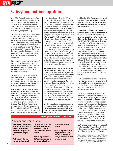# **3. Asylum and immigration**

In the 1997 Treaty of Amsterdam the European Union embarked upon a plan to establish common rules covering asylum and immigration by 2004 (articles 61-69 EC Treaty). This project is also referred to as the "establishment of the European area of freedom, security and justice (AFSJ)".

The Commission is in the process of issuing a series of draft Directives covering the whole range of asylum and immigration subject matters. We have been monitoring these developments closely. After publication of each draft Directive, we have commissioned an expert in this field, Mark Bell, lecturer at Leicester University, to draft a position paper analysing the proposal from the perspective of LGBT people, and making recommendations for amendments as appropriate.

Over the year, there were so many issues of concern that we finally also asked for a meeting with a representative of Commissioner António Vitorino, who as Commissioner for Justice and Home Affairs, is responsible for these areas.

The meeting took place on 16 July 2001, with Jackie Lewis, Kurt Krickler, Nigel Warner and Mette Vadstrup representing ILGA-Europe, and Mr Joaquim Pedro Nunes de Almeida representing Mr Vitorino. The following proposals were discussed:

◗ **Proposal for a Council Directive on the right to family reunification:** this applies mainly to third country nationals (i. e. non-EU nationals) residing in a member state lawfully for at least one year. The Commission's original proposal (COM(1999) 638) was for these people to be joined in the European Union by their "spouse, or an unmarried partner living in a durable relationship with the applicant, if the legislation of the member state concerned treats the situation of unmarried couples as corresponding to that of married couples". We had proposed that this be strengthened to allow any "spouse or unmarried partner living in a durable relationship with the applicant" to be joined by their partner, whatever the legislation of the member state. ILGA-Europe's position paper on this proposal had been sent to Commissioner Vitorino in May 2001 (the paper was also published in *Euro-Letter* # 89, June 2001). Mr Nunes de Almeida advised that, in the current negotiations between the member states, even the Commission's proposal was meeting with significant opposition on the basis that there are difficulties in establishing whether an unmarried relationship was genuine.\* It was likely that the whole issue of the recognition of unmarried couples would be left to individual member states, and therefore would not be subject to harmonisation. We argued that at the very least unmarried couples in registered partnerships should be treated on the same basis as married couples.

◗ **Approximation of rules on recognition and content of refugee status:** a draft Directive on this area is being worked on by the Commission, and is due to be published later this year. ILGA-Europe's objective is to ensure that any common definition of "refugee" explicitly includes people persecuted on the grounds of their sexual orientation or gender identity. Mr Nunes de Almeida assured us that the Commission's draft definition does include sexual orientation, and may also include gender identity. This is an excellent start, although a Europe wide campaign will be necessary to ensure that the Commission's definition is retained, and that the Directive itself is approved by the member states.

We also handed over our position paper on the **proposal for a Council Directive on minimum standards on procedures in Member States for granting and withdrawing refugee status** (COM(2000) 578).

### **Work programme 2000/2001**

**cies developed by the European Union recognise fully the residence rights of same-sex couples and their**

◗ **Work for implementation of the Commission's proposed amendment to Regulation**

**children.**

### Asylum and immigration

- ◗ **Work to ensure the inclusion of persecution on grounds of sexual orientation in any definition of refugee status adopted by the European Union.**
- ◗ **Work to ensure that any common immigration poli-**

**1612/68 (free movement of persons).**

◗ **Work for implementation of the proposal for a Council directive on the right to family reunification for third country nationals.**

Additionally, ILGA-Europe prepared a position paper on the **proposal for a Council Directive laying down minimum standards on the reception of applicants for asylum in Member States** (COM(2001) 181).

◗ **Proposal for a European Parliament and Council Directive on the right of citizens of the Union and their family members to move and reside freely within the territory of the Member States:** this crucial proposal (COM(2001) 257) published by the Commission in May 2001, covers the whole question of the free movement of EU citizens within the Union. It therefore raises the question of the "family reunion" of same-sex couples, where one moves to another member state and wishes to be accompanied by her/his partner. The draft Directive uses a formulation similar to that of the draft Directive on family reunion (described above). Mr Nunes de Almeida felt that there was more possibility here than in the case of family reunion for third country nationals, with member states less concerned about movement within the Union, than with movement from outside the Union.

ILGA-Europe's position paper and recommendations, arguing for extensive rights of movement for same-sex couples, was published in October 2001. All the position papers mentioned above are, of course, available at our web-site.

In the context of these proposals, ILGA-Europe is also lobbying the European Parliament which is preparing reports and resolutions on each of the proposals either under the consultation or the co-decision procedure. We participated in the European Parliament hearing *The situation of Fundamental Rights in the European Union and the establishment of the European area of freedom, security and justice* which was organised by the Committee on Citizens' Freedoms and Rights, Justice and Home Affairs in Brussels on 21 March, and distributed a 15-page written contribution.

ILGA-Europe representatives also attended the European Commission Stagiaire Committee's conference *Towards an EU Asylum Policy?* held in Brussels on 21 February.

<sup>\*</sup> Following consultation with the European Parliament, the Economic and Social Committee and the Committee of the Regions, the Commission amended the original proposal on 10 October 2000; the document number of the current proposal is COM(2000) 624.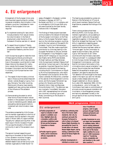# **4. EU enlargement**

Enlargement of the European Union presents important opportunities for combating sexual orientation discrimination in the accession countries. Candidates for membership of the European Union are required:

- ◗ To implement existing EU laws (which include protection from sexual orientation discrimination in the field of employment under the terms of the framework Directive, see item A.1 above)
- ◗ To respect the principles of "liberty, democracy, respect for human rights and fundamental freedoms, and the rule of law".

ILGA-Europe has sought to make the most of these opportunities by providing evidence of the extent to which laws and practices in the accession countries fail to meet these criteria to the relevant EU institutions, namely the European Parliament, European Commission and the Presidency. In so doing, ILGA-Europe has two main objectives:

- (i) The repeal of discriminatory criminal laws in those countries where these still remain, namely Bulgaria, Cyprus, Hungary, Romania. Two other countries, Estonia and Lithuania, have recently repealed such laws, giving clear evidence of the influence of the accession process;
- (ii) Demonstrating the extent to which other forms of discrimination remain endemic in the accession countries, with a view to intensifying public debate, and persuading national governments to implement anti-discrimination measures.

The evidence presented by ILGA-Europe and its member organisations is the fruit of two projects: the first resulted in the publication in March 2001 of a report entitled "Equality for Lesbians and Gay Men: A Relevant Issue in the EU Accession Process". This surveys the situation of the LGBT community in each of the accession countries.

The second involved researching and reporting on the extent of discrimination in four accession countries, Hungary, Poland, Romania and Slovenia. The detailed research was carried out by ILGA member organisations *Háttér Baráti Tár-* *saság a Melegekért in* Budapest, *Lambda Warszawa* in Warsaw, *ACCEPT* in Bucharest, and *SKUC-LL* in Ljubljana, and co-ordinated by ILGA-Europe. Both projects were financed by the Open Society Institute (OSI) in Budapest.

The findings of these projects have been communicated to the relevant Directorates of the European Commission, to the Presidency, to the European Parliament rapporteurs on the individual accession countries, and to the chair-persons of the specific EU*- [Accession Country]* Joint Parliamentary Committees. They also made a significant contribution to a one-day hearing in the European Parliament on 28 June, entitled *EU Enlargement: A Gay Perspective,* organised by the EP Intergroup on Gay and Lesbian Rights, led by MEPs Joke Swiebel, Michael Cashman and Patsy Sörensen. ILGA-Europe board members Tatjana Greif and Adrian Coman took part in the hearing as panelists. Important figures from the EU institutions contributed to the hearing, including the EU Commissioner on Equality, Ms Anna Diamantopoulou, who explicitly thanked ILGA-Europe for all the information collected, Ms Petra Erler, a member of the cabinet of the Enlargement Commissioner, and the European Parliament rapporteurs for Slovenia and Romania, Demetrio Volcic (Italy) and Baroness Emma Nicholson (UK). The afternoon session involved a "roundtable" discussion with LGBT representatives from all accession countries, including Cyprus and Malta, commenting on the situation in their countries.

The hearing was preceded by a press conference in the Parliament on 27 June at which board members Tatjana Greif and Nigel Warner presented the findings of the research.

There is strong evidence that these efforts by MEPs, ILGA-Europe, and its member organisations, are succeeding in putting LGBT rights onto the accession negotiations agenda. In the hearing Ms Petra Erler stressed that there was "no flexibility in negotiations regarding equal opportunities and minorities". She commented that Romania had been called on "time and again" by the Commission to repeal its discriminatory laws, and that Cyprus "still had work to do". Other countries with discriminatory laws were "being scrutinised". In a subsequent letter to ILGA-Europe, Günter Verheugen, the Enlargement Commissioner, confirmed that the "principle of elimination of discriminations due to sexual orientation" was among "the principles that new Member States will be expected to accept upon accession", and gave his assurance that "full attention will be brought to the issues raised in the report you sent me". We also issued a media release welcoming Verheugen's statement on 26 July (see also *Euro-Letter* # 91, September 2001). All this is a big advance – prior to this year, the Commission had made no commitments of principle concerning sexual orientation discrimination in the enlargement process, and had only addressed it briefly in the annual reports of two countries, Romania and Cyprus.

### **Work programme 2000/2001**

### EU enlargement

- ◗ **Finalise preparation of report on situation of LGBT people in candidate countries. Highlight where discrimination conflicts with principles established under EU law and the European Convention on Human Rights.**
- ◗ **Provide report to governments, and to Commission officials responsible for accession.**
- ◗ **Publicise continuing violations of EU human rights standards, inter alia, by seeking to persuade the European Parliament to refer to them in its Annual Human Rights Resolution, by persuading the Council to include them in its Annual Human Rights Report, and by making a submission at the Annual EU Human Rights Discussion Forum.**
- ◗ **Monitor developments in individual accession coun-**

**tries: if insufficient progress, seek to apply pressure through friendly national parliaments and European Parliament.**

◗ **Lobby Commission to carry out report into homophobia in candidate states, with a view to making statement that combating homophobia forms part of the human rights condition for accession (cf. 1999 Commission report on "Countering racism, xenophobia and anti-Semitism in the candidate countries").**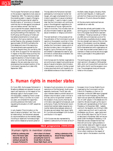The European Parliament's annual debate on the accession negotiations took place on 5 September 2001. The resolutions tabled the preceding week in respect of Bulgaria, Hungary and Romania had all called for the elimination of "provisions in the penal code that discriminate against homosexual men and lesbian women". But that for Cyprus ignored the subject, despite the fact that equivalent wording had been proposed during the drafting of the resolution. The ELDR group and the group of Green parties tabled amendments to include such wording in the Cyprus resolution. We supported these by a fax campaign directed to approximately 125 MEPs just before the final debate and vote of the resolutions. The amendments were opposed by the European People's Party, but carried by 292 to 242. With its support for the resolutions in respect of the other three countries, this meant that the European Parliament had urged the abolition of discriminatory laws in all four countries. We issued a media release on the very same day once more emphasising the consistent position of the Commission (see also *Euro-Letter* # 91, September 2001).

The day before the Parliament had been addressed by Commissioner Günter Verheugen, who again emphasised the Commission's opposition to sexual orientation discrimination: "I want to make it crystal clear that the Commission will continue to press in the enlargement negotiations for full observance of human rights and the rights of minorities. This includes a ban on any discrimination based on age, gender, sexual orientation or religious conviction."

The next landmark in this process will be the publication of the Commission's annual reports on the accession countries in October. It will be particularly interesting to see whether the Commission makes a point of the discriminatory laws in the reports on Bulgaria, Cyprus, Romania and Hungary, and whether it addresses the need for governments to combat sexual orientation discrimination in other areas.

ILGA-Europe and its member organisations are continuing to research and publicise evidence of sexual orientation discrimination in the accession countries. A further project is being launched which will hopefully provide detailed evidence of discrimination in

the Baltic states, Bulgaria, Slovakia, Malta and the Czech Republic. A meeting with activists from these countries took place in Brussels on 27 June to discuss the details.

All the documents mentioned here are available at our web-site.

We have also actively participated in the working group on enlargement of the Platform of European Social NGOs (see item A.8 below). The group was set up in February 2001 and commissioned, as one of its first activities, a qualitative study to assess the role, strength and nature of the civil dialogue, in the accession countries, between social NGOs and public bodies, between the NGOs themselves and with organisations at EU level. We provided contact details of our members in these countries and encouraged them to participate in the questionnaire survey.

The working group is planning an enlargement seminar in Brussels on 26 November 2001, which will involve NGO activists from both within the EU and the accession countries. The enlargement study will be published on this occasion.

# **5. Human rights in member states**

On 5 July 2001, the European Parliament in Strasbourg debated and adopted its annual report and resolution on the respect of fundamental rights in the European Union (A5-0223/2001), drafted by French conservative MEP Thierry Cornillet. As in previous years, we contacted the rapporteur, providing extensive information and requesting the situation of LGBT people be addressed.

In sub-chapters "Discrimination on the basis of sexual orientation" and "Non-marital relationships", the Parliament adopted six recommendations to the member states, including to repeal anti-homosexual legislation and to release all prisoners jailed on

the basis of such provisions. As in previous resolutions of the Parliament, Austria was especially mentioned. The EP also calls upon member states to prohibit sexual orientation discrimination under criminal or civil law, and to not give their consent to the accession of any country that has discriminatory laws against homosexuals, such as Romania. Finally, the Parliament recommends that member states recognise nonmarital relationships between persons of the same sex and assign them equal rights. Mr Cornillet acknowledged ILGA-Europe's contribution in his report.

ILGA-Europe was also represented by Isabelle Cruette and Kurt Krickler at the 2nd

### **Work programme 2000/2001**

### Human rights in member states

◗ **Publicise continuing violations of EU human rights standards, inter alia, by seeking to persuade the European Parliament to**

**refer to them in its Annual Human Rights Resolution, by persuading the Council to include them in its Annual Human Rights Report, and by** **making a submission at the Annual EU Human Rights Discussion Forum.**

European Union Human Rights Forum organised by the Commission and the French EU Presidency in Paris on 13 December. Unlike the 1999 report prepared under the Finnish Presidency, the 2000 report did not specifically address the situation of LGBT people. In the debate we criticised this. We also brought up this issue in the talks with representatives of the French Presidency (14 December 2000 – Isabelle and Kurt), the Swedish one (22 March 2001 – Jackie Lewis and Kurt) and in particular the Belgian one (8 June – again Jackie and Kurt) as the 2001 report for the 3rd Forum to take place in November 2001 will be prepared under the Belgian Presidency. In all these talks we also stressed the fact that there still are human rights problems in some member states with regard to sexual orientation discrimination. This would create a huge credibility problem for the Union when insisting on the respect of human rights in the accession countries.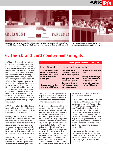



**Patsy Sörensen (MEP/Greens, Belgium), Joke Swiebel (MEP/PSE, Netherlands), Hein Verkerk (Intergroup), Nigel Warner and Tajana Greif (both ILGA-Europe) at the press conference on 27 June 2001**



**LGBT representatives from all accession countries participated in the EP hearing on 28 June.**

# **6. The EU and third country human rights**

On 5 July, the European Parliament also adopted its annual report and resolution on the Union's human rights policy towards third countries (A5-0193/2001), drafted by Finnish Green MEP Matti Wuori. In paragraph 116, under the section on "recommendations on other issues requiring urgent international action", the Parliament, stressing "that homosexuals are still victims of discrimination, prejudice and denial of their basic human rights in countries all over the world, including some Member States and candidate countries such as Romania", "calls upon the eighty countries in the world which still prohibit homosexuality in their domestic law to change this legislation without delay" and "urges those States which impose the death penalty on homosexuals to stop doing so immediately".

ILGA-Europe again had provided the rapporteur with extensive information about the situation of lesbians, gays, bisexuals and transgendered people world wide.

On 6 July, we issued a media release on both EP resolutions expressing satisfaction that the rapporteurs have included some of our information and that also some of our specific proposals had been taken up by various political groupings as a result of our lobbying both before the reports had been debated in the committee and in plenary (see also *Euro-Letter* # 90, July 2001).

We also brought specific human rights violations to the attention of the institutions of the European Union and requested that such cases be taken up in an appropriate way:

### **Work programme 2000/2001**

### The EU and third country human rights

**Explore practicality of a programme of work designed to promote LGBT rights in countries outside the EU ("third countries") by:** 

◗ **Researching and providing information on LGBT human** **rights violations in third countries to Commission for use in bilateral negotiations.**

◗ **Working for inclusion of specific reference to Article 13 discrimination in human rights clauses of bilateral trade and co-operation**

**agreements with third countries.**

◗ **Working on implementing EU human rights and democratisation strategies in third countries in regard to the rights of LGBT people.**

Thus, on 5 April the European Parliament adopted an urgency resolution (B5-0264, 0274, 0282, and 0300/2001) strongly condemning the outburst of homophobia within the ruling party of Namibia.

On 30 June the Belgrade gay pride march was brutally attacked by large crowds of nationalist extremists and football hooligans, and a number of participants were injured. Despite advanced warning the police failed to provide adequate protection, and were slow in responding to the situation. These events followed immediately on the 29 June Brussels Donor Conference, at which the European Union pledged some € 530 million of aid to Yugoslavia conditional upon compliance with generally respected standards of human and minority rights. ILGA-Europe immediately wrote to the EU Commissioner for External Relations, Chris Patten, drawing his attention to the failure of the Yugoslav authorities to respect the conditions of the Brussels Donor Conference. We also issued a media release on 2 July (see *Euro-Letter* # 90, July 2001).

In May police in Cairo arrested 55 gay men in a disco. 52 of these men were charged in a state security court with "obscene behaviour" and "expressing contempt for religion". They had been held in prison since arrest, and there were serious grounds for believing that they had been subjected to torture and degrading treatment. In July, we wrote to both Chris Patten, and to the Belgian Presidency of the European Council, drawing attention to the EU's commitment to linking its Mediterranean Area development programmes to progress in human rights.

ILGA-Europe has also taken up closer contacts with the Brussels offices of *amnesty international* and Human Rights Watch and some MEPs in order to co-operate in the field of fighting human rights violations in third countries.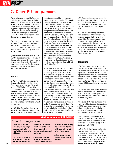# **7. Other EU programmes**

The Nice European Council in December 2000 also endorsed the European Social Agenda 2001-2005 which had been adopted by the Social Affairs Ministers Council on 27-28 November after negotiating conflicting proposals presented by the European Commission and the French Presidency. The full text of the Agenda is annexed (Annex I) to the Conclusions of the Presidency of the European Council.

This new social policy agenda refers again to Article 13 and formulates, under the heading "III. Fighting Poverty and All Forms of Exclusion and Discrimination in order to Promote Social Integration", the following aim:

*f) Ensure effective implementation of Community legislation on combating all types of discrimination on grounds of gender, race or ethnic origin, religion or beliefs, disability, age or sexual orientation. Develop exchanges of experience and of good practice to strengthen these policies.*

### **Projects**

In December 2000, the project *Stepping Stones and Roadblocks,* in which ILGA-Europe was a project partner (cf. Board report 1999/2000, item D3, and *ILGA-Europe Newsletter* # 1, p. 7), was successfully completed. An 8-page report of each of the three seminars and a final project report have been produced in English, French and German. The final report includes a detailed list of proposals and recommendations that have been formulated as a result of the project.

In 2000, ILGA-Europe has joined a new project. It is participating as expert in the SOLIDAR-led project *Non-discriminatory* *access to services provided by the voluntary sector: Promoting best practice.* SOLIDAR is an independent alliance of social welfare, life-long learning, development and humanitarian aid NGOs, the project is concerned with assessing the anti-discrimination practice of four of its members: *Arbeiterwohlfahrt-Bundesverband* (Germany), *Volkshilfe Österreich (*Austria), *Lega Provinciale Cooperative Bolzano* (Italy), and the *Ligue française de l'enseignement et de l'éducation permanente* (France). Together with ENAR, the European Network Against Racism, Eurolink Age, and UNISON, the public sector union from Great Britain, ILGA-Europe provides expert knowledge on the discrimination grounds covered in Article 13 EC. The project receives European Commission funding under the call for proposals VP/2000/013, "preparatory measures aimed at combating and preventing discrimination in accordance with Article 13 of the Treaty".

A first steering group meeting in Brussels in January 2001 developed the concrete proceedings of this project. Each of the SOLIDAR members prepares a seminar for its employees at which the experts will offer workshops and advice for the organisations' aims in anti-discrimination. It was decided that the focus would rest on assessing examples of the publications and flyers through which they present themselves, their policy documents and looking at their employment practices. Since the time frames are short, these areas were chosen to make the input concrete and provide a good starting point into a very crucial area of work and services. ILGA-Europe will focus on sexual orientation discrimination and on transgender issues with the aim to break certainties about what "normal" people are and whether certain information and questions (e. g. on application forms) are accessible or necessary.

### **Work programme 2000/2001**

### Other EU programmes

- ◗ **Seek to ensure that new European Social Agenda programme maximises the opportunities for working for LGBT rights.**
- ◗ **Participate in EU sponsored projects on the exchange of best practice, extent of dis-**

**crimination, and methods used to combat discrimination, in such fields as employment, education, and healthcare.**

◗ **Explore the possibilities offered by the new powers covering 'police and judicial** **co-operation' for combating discrimination in the criminal law, and follow up with action, if appropriate.**

◗ **Inform member organisations of relevant Calls for Proposals.**

ILGA-Europe particularly emphasises that anti-discriminatory employment practices are essential to achieving anti-discrimination in access to services and to providing quality services that meet people's needs.

SOLIDAR will facilitate a guide of best practice as a result of the four seminars, which will be published in several languages. ILGA-Europe's representatives in this project are Jackie Lewis and Nico J. Beger. Jackie attended the first project seminar organised by *Legacoop-Bund* in Bolzano on 7 May, Nico the following ones organised by *Volkshilfe* in Vienna on 25 June and by *Arbeiterwohlfahrt* in Bonn on 12 September respectively.

### **Networking**

ILGA-Europe was also represented in two transnational conferences organised by various associations as part of activities funded as preparatory measures aimed at combating and preventing discrimination in accordance with Article 13 of the Treaty, such as in Bad Honnef in November 2000, in Duisburg in September 2001, and in Vienna in October 2001 (for details see calendar on p. 19).

In November 2000, we attended the presentation in the European Parliament of the project *Combating Violence against Lesbians,* funded by the Commission under its DAPHNE programme.

In December 2000, we disseminated information about the European Commission's ACCESS programme, encouraging organisations in candidate countries in Central and Eastern Europe to submit funding applications under this programme.

In February 2001, ILGA-Europe disseminated information about the call for proposals under the European Initiative for Democracy and Human Rights (EIDHR), see also *Euro-Letter* # 86.

On 9-10 March Nigel Warner participated in the inaugural conference of the Centre for Research and Comparative Legal Studies on Sexual Orientation and Gender Identity (CERSGOSIG) in Turin where the EUfunded project of a new web archive on the legal situation of LGBT people in the EU member states was launched. He gave a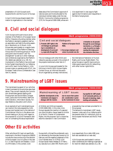

presentation of ILGA-Europe's work towards the EU and the Council of Europe.

In April ILGA-Europe disseminated information to organisations in the member

states about the Commission's approval of national plans and funds allocated to the individual member states under the new EQUAL Community initiative programme (CIP) for the period 2000-2006, whose aim is to experiment in new ways to fight against discriminations and inequalities in the field of employment.

# **8. Civil and social dialogues**

ILGA-Europe continued to be an active member of the Platform of European Social NGOs. It became a founding member when the Platform decided to establish itself as an association and held its founding assembly in Stockholm on 21 March. ILGA-Europe also participated on a regular basis in the meetings of the Platform's Steering Group and of its working groups on "social policy/anti-discrimination" and "EU enlargement" as well as in other meetings and conferences organised by the Platform (for details see calendar on p. 19). Our involvement in the Platform has continued to be of great importance for our lobbying work at EU level. Via the Platform, ILGA-Europe is also co-operating with ETUC, the European Trade Unions Confederation (see item A.2 above).

### **Work programme 2000/2001**

### Civil and social dialogues

**1. Promote LGBT rights in the civil dialogue by participating in consultations on development of social policy, especially through the**

**Platform of European Social NGOs.**

**2. Encourage employers and unions to promote non-dis-**

The civil dialogue with other NGOs and networks was also pursued in the context of the projects mentioned under item A.7.

In June ILGA-Europe participated for the first time in the EU NGO Human Rights Contact Group, an informal discussion forum organised by *amnesty international*, **crimination on all grounds through the social dialogue mechanism, e. g. through a code of practice on implementing the employment discrimination directives.**

the International Federation of Human Rights, and Human Rights Watch. The group focuses on specific topics and provides a good opportunity for networking with other human rights NGOs.

# **9. Mainstreaming of LGBT issues**

The mainstreaming aspect of our activities is best illustrated by the activities described above. They concern basically the Commission directorates-general dealing with Employment and Social Affairs, Enlargement, Justice and Home Affairs, Staff and Administration, Information Society, Foreign Relations, Education and Culture.

As an example of such mainstreaming we can mention the note prepared by ILGA-Europe (and handed over to the cabinet of Commissioner Vitorino in the above-mentioned meeting on 16 July) with regard to the proposal for a Council framework decision on combating the sexual exploitation

### **Work programme 2000/2001**

### Mainstreaming of LGBT issues

◗ **Monitor developments at the Commission and engage in dialogue with the Commis-**

**sion to ensure that systematic consideration is given by the Commission to ensur-**

**ing equality for LGBT people in all Community policies, at the point of planning, implementing and evaluation.**

of children and child pornography (COM(2000) 854). In this note, ILGA-Europe requests the insertion of a general non-discrimination clause, based on Article 21 of the EU Charter of Fundamental Rights, into the proposal. Such a clause has become a standard in new Commission

proposals but has not been provided for in this proposal.

The demand to mainstream LGBT issues, however, is also part of our lobbying activities towards other EU institutions, such as the European Parliament and the EU Presidency.

# **Other EU activities**

Other activities at EU level not specifically mentioned in the Work Programme 2000/01 include the close monitoring of the decision of the European Court of Justice in the case D. (i. e. Sven Englund) and Sweden v. Council of Ministers. In this context, ILGA-

Europe both criticised the problematic opinion delivered by the Advocate-General on 22 February and the negative judgement of the Court handed down on 31 May. ILGA-Europe issued media releases on 27 February (see also *Euro-Letter* # 87, March) and 7

June respectively *(Euro-Letter* # 89, June; both also available at our web-site).

ILGA-Europe also participated in various other conferences and meetings organised at EU level (for details see calendar on p. 19).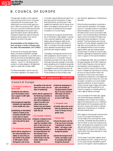# ilga**europe activity report**

# B. COUNCIL OF EUROPE

The past year has seen a much reduced level of activity at the Council of Europe compared with the previous year. This reflects both the more limited opportunities in 2001 for promoting LGBT rights at the Council and the limited resources that could be dedicated to this area of work, given the need to direct intensive efforts towards the significant opportunities presented by the European Union and to establish the office in Brussels.

**Recommendation on the situation of lesbians and gays in Council of Europe member states (Recommendation 1474 (2000))**

At the time of writing last year's Board Report, this Recommendation had been debated by the Assembly in June 2000, and a vote was imminent at the September session, where it was supported by an overwhelming majority – some 77 %. We welcomed this success in a media release on 26 September (see *Euro-Lette*r # 83, October 2000).

The Recommendation calls for anti-discrimination legislation, the repeal of discriminatory sexual offences and age of consent laws, and the introduction of registered partnership, across Europe. It also repeats the Assembly's call for sexual orientation to be added to the grounds for discrimination prohibited by the European Convention on Human Rights.

Put forward by Hungarian Socialist Member of Parliament Csaba Tabajdi, it was the most important statement of support for lesbian, gay and bisexual rights by the Assembly since a historic declaration in 1981. It included a forthright preamble which attacked homophobia by certain politicians and religious leaders:

"Nowadays, homosexuals are still all too often subjected to discrimination or violence at school or in the street. They are perceived as a threat to the rest of society, as though there were a danger of homosexuality spreading once it became recognised. … This form of homophobia is sometimes propagated by certain politicians and religious leaders, who use it to justify the continued existence of discriminatory laws

### **Work programme 2000/2001**

### Council of Europe

### **1. The European Convention on Human Rights**

**Promote the most effective use of the European Convention in support of LGBT rights** *inter alia* **by:** 

- ◗ **Encouraging and supporting individuals and organisations to take suitable test cases.**
- ◗ **Establishing an international network of experts on the Convention and LGBT issues to give advice to lawyers and individuals taking cases, and to help with the above tasks.**

### **2. The Parliamentary Assembly**

◗ **Work with the rapporteurs of the relevant Assembly Committees to ensure they are fully briefed on the position of LGBT people in Bosnia-Herzegovina; seek to have**

**the abolition of the discriminatory laws made a pre-condition of membership.**

◗ **Work with the rapporteurs of the Monitoring Committee to ensure that Armenia complies with its obligation to repeal its law that criminalises same-sex acts between men and releases any people still imprisoned under this law.**

### **3. The Committee of Ministers**

◗ **Organise campaign by member organisations to persuade the Committee of Ministers to take action on the Recommendations of the Parliamentary Assembly on the Asylum/Migration and Discrimination issues (assuming the latter are voted through in the September session of the Assembly).**

◗ **Follow the development of policy and activities by Intergovernmental Committees in all areas relevant to LGBT people and seek to ensure that they take account of LGBT rights.** 

### **4. Transgender issues**

- ◗ **Consider what action can be taken by ILGA-Europe at the Council of Europe on transgender issues.**
- **5. General issues**
	- ◗ **Review the powers and role of the new Council of Europe "Commissioner on Human Rights", and explore scope for promoting LGBT rights through this position.**
	- ◗ **Review the European Social Charter, and explore scope for promoting LGBT rights through this document.**

and, above all, aggressive or contemptuous attitudes."

While the Recommendation constitutes a most important declaration of European opinion, in procedural terms it is actually a Recommendation to the Committee of Ministers of the Council of Europe to take action. ILGA-Europe therefore submitted a report to the Committee of Ministers supporting the recommendations. This was entitled "The Equal Dignity and Intrinsic Equality of Human Beings" (available at our web-site), and provided the Committee with detailed evidence of discrimination against lesbian, gay and bisexual people across Europe. A number of ILGA-Europe member organisations lobbied their government in support of the recommendations.

On 19 September 2001, the Committee of Ministers adopted, at the 765<sup>th</sup> meeting of the Ministers' Deputies, a formal reply to the Assembly's recommendations. This reply is a historic move of the Committee since it "stresses the importance of covering all forms of discrimination within the framework of the Council of Europe's activities and underlines in this respect the relevance of the new Protocol No. 12 to the European Convention on Human Rights (general prohibition of discrimination). Clearly a broad range of legal instruments and activities have the potential to contribute to progress in combating discrimination against lesbians and gays."

The Committee of Ministers also "agrees with the Parliamentary Assembly that, regrettably, discrimination and violence against homosexuals still occur. Differentiated treatment of homosexuals under the law and in practice still exists in member states as do contemptuous or intolerant attitudes towards them."

With regard to the proposal concerning the Council of Europe Commissioner for Human Rights, the Commissioner, when consulted, considered that the problem of discrimination on grounds of sexual orientation was already fully covered by his mandate and sufficiently important to be an integral part of the work of his office as a whole rather than being reserved for a specific appointment.

The European Commission against racism and intolerance (ECRI), a body of the Council of Europe, was also requested to give its opinion on the specific recommendations of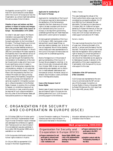the Assembly concerning ECRI. It replied that ECRI would welcome a wide debate within the Council of Europe as to how the Organisation as a whole might best address the various areas of discrimination.

**Situation of gays and lesbians and their partners in respect of asylum and immigration in the member states of the Council of Europe – Recommendation 1470 (2000)**

As noted in last year's report, this Recommendation was supported by the Parliamentary Assembly in June 2000. ILGA-Europe's submission to the Committee of Ministers, "The Equal Dignity and Intrinsic Equality of Human Beings", referred to above, also provided detailed evidence in support of this Recommendation. In March 2001 the Committee of Ministers replied to the Assembly that it had referred various of the issues raised to its specialist committees, and had brought the Assembly's Recommendation to the attention of the member Governments (a step which has no particular significance, since it is taken in respect of all Parliamentary Assembly Recommendations, whether or not supported by the Committee of Ministers). In theory there is still the possibility that the Committee of Ministers will take up the key issues raised by the Assembly (recognition for asylum purposes, and recognition of same-sex couples for immigration purposes) in a Recommendation to the Member States. However, in practice, this is unlikely to happen: on contentious issues such as this unanimity, or near-unanimity would be required for such a Recommendation. But only a few of the 43 Member States yet have positive positions on these issues.

### **Applicants for membership of the Council of Europe**

Applicants for membership of the Council of Europe are required to demonstrate to the satisfaction of the Parliamentary Assembly that their observance of human rights is at least consistent with the minimum standards set by the Council of Europe, or are required to give binding undertakings that they will meet these standards within a short period of accession.

Armenia gained membership of the Council of Europe in 2001, having given undertakings that it would repeal its ban on same-sex relations between men. So far this has not happened. We will follow developments closely and make representations to the Council of Europe if Armenia does not comply with its undertakings shortly.

Bosnia-Herzegovina is in the process of gaining membership of the Council of Europe. We are pleased to note that, in its new criminal code, introduced with effect from October 2000, its ban on same-sex relationships was repealed, and no distinction is made between heterosexual and homosexual conduct. Moreover, sexual orientation discrimination is even prohibited now in the Republika Srpska.

### **Cases at the European Court of Human Rights**

Several cases of great importance for lesbian, gay and bisexual rights in Europe are now pending before the Court. ILGA-Europe is providing support to the following:

### *Fretté v. France*

This case challenges the refusal of the French authorities to allow a gay man to be considered as a prospective adopter. On 27 June 2001 the Court declared the case admissible. The hearing is to take place on 2 October 2001. Mr Fretté will be represented by Dr Robert Wintemute, of the Law School, King's College, London. Dr Wintemute, and ILGA-Europe, had earlier provided support and advice to Mr Fretté.

### *Karner v. Austria*

This case involves the eviction from his flat of a gay man, following the death of his partner, in whose name the lease of the flat was held. The Austrian Supreme Court had held that the legislation which preserved a right to tenancy to unmarried partners in the event of the death of one of the partners should be interpreted as only applying to heterosexual couples. A decision on the admissibility of this case is expected soon. If admissible, ILGA-Europe will try to provide support to this case.

### **Celebration of the 50th anniversary of the Convention**

ILGA-Europe was represented at the ceremony to commemorate the 50th anniversary of the European Convention on Human Rights in Rome, 4 November 2000 by Robert Wintemute (for a full report see *Euro-Letter* # 85, January 2001).

# C. ORGANIZATION FOR SECURITY AND CO-OPERATION IN EUROPE (OSCE)

On 23 October 2000, Kurt Krickler participated in the OSCE Implementation Meeting on Human Dimension Issues in Warsaw and addressed the conference on agenda item "tolerance and non-discrimination". His oral statement was also published in *Euro-Letter* # 84 (November 2000) and is available on our web-site.

ILGA-Europe also distributed a dossier on human rights violations in Austria.

On 19 June 2001 he represented ILGA-Europe in the OSCE Supplementary

Human Dimension meeting on "Promoting Tolerance and Non-discrimination" in Vienna and intervened in the workshop

discussion addressing the issue of sexual orientation discrimination.

### **Work programme 2000/2001**

### Organization for Security and Co-operation in Europe (OSCE)

◗ **Prepare submissions for and participate in relevant meetings of the Office for Democratic Institutions and**

**Human Rights (ODIHR), especially in the implementation meetings of the Human Dimension.**

- ◗ **Prepare submissions for and participate in the OSCE review conferences.**
- ◗ **Establish contacts with the Parliamentary Assembly of the OSCE.**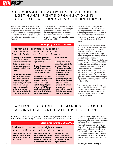# D. PROGRAMME OF ACTIVITIES IN SUPPORT OF LGBT HUMAN RIGHTS ORGANISATIONS IN CENTRAL, EASTERN AND SOUTHERN EUROPE

Most of the activities associated with this item were carried out in the context of EU enlargement (see above under A.4). At this point, we only would like to highlight again our report "Equality for Lesbians and Gay Men: A Relevant Issue in the Accession Process".

In December 2000, ILGA-Europe disseminated information about the ACCESS programme of the European Commission, encouraging organisations in candidate countries to submit funding applications under this programme (see also *Euro-Letter* # 85, January 2001).

### **Work programme 2000/2001**

### Programme of activities in support of LGBT human rights organisations in Central, Eastern and Southern Europe

- ◗ **Encourage co-operation and mutual support between member organisations within Central and Eastern Europe and between organisations in this area, and in Western Europe.**
- ◗ **Find means of providing support and technical advice to those wishing to establish LGBT human rights organisations in Central, Eastern and Southern Europe, in such areas as lobbying skills, funding, organisational development, combating discrimination and mobilising**

**international pressure in respect of particular human rights violations.**

- ◗ **Consider developing proposals for joint projects in the LGBT field under the Phare/ Tacis/Access programmes.**
- ◗ **Find ways to increase number of member organisations in Central, Eastern and Southern Europe and to facilitate their participation in the work of ILGA-Europe, including subsidising their participation in ILGA-Europe events, particularly the**

**Annual Conference.**

- ◗ **Encourage the member organisations within Central and Eastern Europe to:**
	- **stimulate gender parity and to provide equal representation of lesbian women within mixed organisations;**
- **provide equal representation of lesbian women at all decision-making processes within mixed organisations;**
- **ensure safe environment for lesbian women within mixed organisations.**

We has also secured funding for the Rotterdam Annual Conference's scholarship programme both from the Dutch funding organisation *HIVOS* and the German *Heinrich Böll Foundation* to cover travel and/or other costs of participants from Central, Eastern and Southern Europe.

Board members Tatjana Greif (Slovenia) and Adrian Coman (Romania) have been networking with groups and activists, in particular in the countries of former Yugoslavia and in Moldova and Bulgaria. Tatiana participated in a meeting of lesbian activists from the countries of ex-Yugoslavia in Rovinj, Croatia, in September. At the meeting the document "Equal Citizenship" was adopted, setting the strategy for mutual co-operation of lesbian NGOs in the states and regions of former Yugoslavia, networking and lobbying for political and social change. The next meeting is going to take place in July 2002 in Ljubljana, Slovenia. Some of the participating lesbian NGOs already applied for membership in ILGA.

The Lithuanian Gay League, *Lietuvos ge˙ju¸ lyga,* translated ILGA-Europe's 1999 guide *After Amsterdam: Sexual Orientation and the European Union* into Lithuanian and presented this publication at a seminar in Vilnius in September 2001.

# E. ACTIONS TO COUNTER HUMAN RIGHTS ABUSES AGAINST LGBT AND HIV+ PEOPLE IN EUROPE

In February 2001, ILGA-Europe signed up to an international appeal in support of the

South African government which, on 5 March 2001, was taken to court by over

### **Work programme 2000/2001**

### Actions to counter human rights abuses against LGBT and HIV+ people in Europe

◗ **Monitor human rights abuses** ◗ **Mobilise international supbased on sexual orientation, gender identity and HIV status in Europe.**

**port for the victims by organising support campaigns by ILGA-Europe's members, and by other international NGOs**

**such as Amnesty International, Human Rights Watch, and the International Gay and Lesbian Human Rights Commission.**

forty of the world's largest pharmaceutical companies. They wanted to fight a law that was passed by the South African Parliament and allows life-saving medicines to be imported from countries where they are cheaper. The companies claimed that the law infringes intellectual property rights. The powerful international campaign turned out to be successful as the companies withdrew their action and agreed to a settlement with the SA government out of court.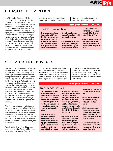# F. HIV/AIDS PREVENTION

On 8 November 2000, Kurt Krickler met with Thierry Martin in Brussels, who is working for the Belgian AIDS service organisation *Ex Aequo* which was a partner in the EU-funded European GAP (Gay AIDS Prevention) Network. Several ILGA members, such as *Arci Gay,* Italy, *COGAM,* Spain, or *RFSL,* Sweden, were part of this Network. After the completion of the project, the partners were seeking to continue the project and to receive further funding from the Commission. At the same time they planned to merge with another AIDS project, CERIS, that had received funding from the European Commission and also completed its work. ILGA-Europe was

requested to support the application to continue the two projects jointly. We wrote

letters to the responsible Commission services to that effect in January 2001.

### **Work programme 2000/2001**

### HIV/AIDS prevention

◗ **Co-operate closely with the European Gay AIDS Prevention (GAP) Network and support the establishing of its programme, and to encourage ILGA-Europe members to co-operate in AIDS prevention projects with this**

**Network, including when seeking funding from the EU and other institutions.**

◗ **Co-operate with other international NGOs working in AIDS prevention, e. g., the European Council of AIDS**

**Service Organisations (EUROCASO) and the Global Network of People Living with HIV/AIDS (GNP+).**

◗ **Invite ILGA-Europe members who are involved in AIDS prevention networks to be visible as ILGA-Europe members.**

# G. TRANSGENDER ISSUES

We have started to create a workgroup that will deal with transgender issues in the coming year. As trans membership in ILGA is not high, the first task was to liaise with transgender activists and groups in Europe, and we are pleased to note that trans membership has increased. We hope to have the workgroup established during the coming year. We also decided to "earmark" a certain proportion of the scholarship funds for our annual conference to transgender activists to ensure higher representation in Rotterdam. Not all, but most of the position papers submitted by ILGA-Europe to the EU (see item A above) included transgender rights and pointed to the specific issues involved.

The EU is currently dealing with two gender directives – a revision of the 1976 directive on equal treatment of women and men in employment and a new gender directive modelled on the race directive based on Article 13 EC Treaty. The first one is already with the Council of Ministers, whereas the second one is currently being drafted by the Commission.

We will get involved in the lobby process and work within the Platform of European Social NGOs and with the European

Women's Lobby (EWL) in particular to ensure that gender identity is explicitly mentioned in the draft. ILGA-Europe is to commission a contract with Dr Stephen Wittle, an academic in law in Britain, to draft a legal overview and a political posi-

tion paper for ILGA-Europe, which we intend to work with in the following year. We will attempt to establish funding sources for 2002-2003 for the development of trans policies and first concrete Europewide actions.

### **Work programme 2000/2001**

### Transgender issues

- ◗ **Lobby towards the inclusion of gender identity in all European anti-discrimination articles and insist, wherever possible, that discrimination on grounds of gender identity and gender appearance is covered by the existing provisions on gender discrimination.**
- ◗ **Work, together with its member organisations, towards ensuring that national states provide the legal possibilities for transgender people to transition, including re-issuing passports and birth certificates.**

**All laws (rights and duties) accorded to men and women should be applicable to transgender people in their new gender identity (marriage, adoption, parenthood, etc.) The national states should provide public health care for transgender people that aids them in the transition process.**

◗ **Express the belief that the requirement to proof irreversible infertility before being allowed to complete legal transitioning into a new gender is against human rights and work towards the**

**abolishment of these laws on European and national levels.**

- ◗ **Ensure that the revised policy statement properly reflects the mentioned issues.**
- ◗ **Work towards increased transgender membership in ILGA and transgender participation in conferences (where possible scholarships could be granted).**
- ◗ **Consult with transgender organisations and individuals where appropriate in carrying out these tasks.**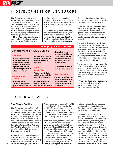# ilga**europe activity report**

# H. DEVELOPMENT OF ILGA-EUROPE

ILGA-Europe's current contract period with the European Commission lasts from 1 December 2000 to 30 November 2001. The Commission intends to start all core funding contracts, under the Community action programme to combat discrimination, with the various European organisations active in fighting discrimination on the various grounds listed in Article 13 EC on 1 May 2002 simultaneously. For this reason, ILGA-Europe's follow-up application to the current core funding contract with

the Commission will cover only the fivemonth period 1 December 2001 to 30 April 2002. We have prepared and submitted this application to the Commission in May 2001.

ILGA-Europe has up-dated its country-bycountry inventory of discriminatory laws and practices as established in its 1998 report *Equality for Lesbians and Gay Men – A Relevant Issue in the Civil and Social Dialogue* by monitoring the developments in

### **Work programme 2000/2001**

### Development of ILGA-Europe

### **1. Core funding**

- ◗ **Develop proposal for core funding under the EU antidiscrimination Action Programme 2001-2006, including co-finance for the element of funding requirement not covered by the EU.**
- **2. Documentation and research**
- ◗ **Develop and maintain a country-by-country inventory of discriminatory laws and**

**practices; monitor developments and keep up-to-date; provide information as appropriate.**

### **3. Visibility and communications**

- ◗ **Produce a leaflet introducing ILGA-Europe, and includ-**
- **ing details of how to join.** ◗ **Re-develop ILGA-Europe web-site to make more**

**accessible and user friendly.**

- ◗ **Develop ILGA-Europe newsletter to publicise ILGA-Europe activities and provide means of networking and sharing information between members.**
- ◗ **Develop database of e-mail addresses for all members.**
- **4. Future development**
- ◗ **Produce a report for discussion in the lead up to and at next year's Conference on the future development of ILGA-Europe.**

all member states. Information on these and many other issues has been provided to many people, media and organisations.

In May 2001 we published a leaflet introducing ILGA-Europe in five languages: English, French, German, Italian, and Spanish. Electronic versions on the website exist also in Dutch and Romanian. Translations in other languages are being prepared.

The work on the make over and development of the ILGA-Europe web-site was initiated. All existing files and documents have been revisited, sorted over and regrouped into new sub-sections. The development of a new design has been commissioned. The work is expected to be finished by November, before the end of the current contract period with the Commission.

The year has seen the first two issues of the *ILGA-Europe Newsletter,* in May and August 2001. It is a 20-page newsletter with a circulation of 2,500 copies. It is sent to around 1,000 addresses by mail and distributed on occasions such as meetings and conferences.

In the context of setting up the database for the recipients and subscribers of the newsletter, the address data of all members were also processed and up-dated.

# I. OTHER ACTIVITIES

### **Pink Triangle Coalition**

ILGA-Europe is a member of the *Pink Triangle Coalition*, an "international coalition for co-ordinating affairs relating to the Nazi persecution of homosexuals". One mandate of the PTC is to ensure representation of the homosexual victims of the Nazis vis-àvis the various new international funds that have been created in recent years. One of them is the International Nazi Persecutee Relief Fund fed with monies from the leftover of the gold the Nazis had looted from the countries they occupied.

In May 2001, the PTC received its so far largest allocation: US \$ 528,000 from the US share of this fund. This amount is being distributed to one international and two projects in Germany (cf. *Euro-Letter* # 89).

Another settlement of relevance for the PTC is the Holocaust Victim Assets Litigation providing for compensation for the Swiss banks' unjust enrichment from the assets the Nazis looted from the victims or derived from slave labour. The settlement is being administered by a US court in New York.

As reported in last year's board report, the PTC had submitted a proposal for a socalled *cy pres* allocation, drafted by Nigel Warner, in February 2000. Since only very few gay and lesbian survivors are still alive, the PTC was asking, on behalf of this victim group, for one per cent of the sum and proposed to set up a foundation which then would distribute the money to support specific activities, such as providing material assistance to gay and lesbian survivors, supporting scholarly research, promoting education and awareness raising, including public monuments, advancing efforts to prevent anti-homosexual persecution throughout the world today.

In June 2001, the PTC learned that its application needed to be amended with additional documentation. Morris Ratner, a specialised attorney consulted by the PTC, also believed that the "special master", appointed by the court in New York to make recommendations about dispersing the money, would look more favourably upon a proposal where the funds would go to an existing organisation. The PTC, therefore, decided to find an existing foundation that would co-operate in this matter and to redraft its proposal accordingly, and to ask the special master for a meeting. The New York-based Astraea Lesbian Action Founda-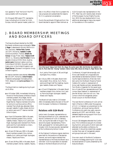

tion agreed to "host" the fund if the PTC was successful with its proposal.

On 9 August 2001 seven PTC representatives, including Kurt Krickler for ILGA-Europe, met with special master Judah Gribetz in his office in New York to present the new proposal and substantiate the reasons for it in a personal conversation.

Due to the workload of Nigel and Kurt, the board decided to appoint Peter Ashman as

ILGA-Europe's new representative in the PTC. Peter has until recently been director of the European Human Rights Foundation. With the new developments it is an additional advantage to have a top expert on foundations in this coalition.

# J. BOARD MEMBERSHIP, MEETINGS AND BOARD OFFICERS

The Executive Board elected by the 2000 Bucharest conference was composed of **Nico J. Beger** *(Lesbenbereich Bündnis 90/Die Grünen,* Germany), **Adrian Relu Coman** *(ACCEPT,* Romania), **Isabelle Cruette** *(David et Jonathan,* France), **Alessio de Giorgi** *(Arcigay Pride!,* Italy), **Tatjana Greif** *(SˇKUC-LL,* Slovenia), **Kurt Krickler** *(Homosexuelle Initiative (HOSI) Wien,* Austria), **Jackie Lewis** *(National Lesbian and Gay Committee of UNISON,* the public sector trade union in the United Kingdom) and **Nigel Warner** *(Stonewall Immigration Group,* United Kingdom).

As reserve members were elected: **Alina Nistor** *(ACCEPT, Romania*), **Anke Hintjens** *(Federatie werkgroepen homoseksualiteit, FWH,* Belgium) and **Juris Lavrikovs** *(HIC,* Latvia).

The Board held six meetings during its period of office:

- ◗ on 8 October 2000, immediately following the end of the Bucharest conference. Board members present: Nico Beger, Adrian Coman, Tatjana Greif, Kurt Krickler and Nigel Warner. Reserve members Alina Nistor and Juris Lavrikovs and ex-officio member Pierre Noël also attended. Were excused: Isabelle Cruette, Alessio de Giorgi, Jackie Lewis and 2nd reserve member Anke Hintjens.
- ◗ on 9 and 10 December 2000 in Brussels. Board members present: Nico, Adrian, Isabelle, Alessio, Tatjana, Kurt, Jackie and Nigel. Apologies were received from Pierre. Jackie and Kurt were elected co-chairs, Nigel was elected treasurer;
- ◗ on 24 and 25 February 2001 in Brussels. Board members present: Nico, Adrian, Isabelle, Kurt, Jackie and Nigel. Apologies: Alessio, Tatjana and Pierre.
- ◗ on 25 and 26 May 2001 in Brussels. Board members present: Adrian, Isabelle, Tatjana,



**Part of the board: Tatjana Greif (SLO), Nico Beger (D), Jackie Lewis (GB), Kurt Krickler (A), Isabelle Cruette (F), Pierre Noël (B); "missing" members: Adrian Coman (RO), Alessio de Giorgi (I), Nigel Warner (GB)**

Kurt, Jackie, Pierre (part of 26) and Nigel. Apologies: Nico, Alessio;

- ◗ on 16 July 2001 in Brussels. Board members present: Nico, Adrian, Kurt, Pierre, Jackie and Nigel (half the meeting). Apologies: Isabelle, Alessio and Tatjana;
- ◗ on 22 and 23 September in Brussels. Board members present: Nico, Adrian, Kurt, Jackie, Pierre and Nigel. Apologies: Isabelle, Alessio and Tatjana.

The Board will also meet on 23 October 2001 immediately before the start of the 23rd ILGA European Conference in Rotterdam.

### **Relations with ILGA-World**

Jackie Lewis, European representative on the Executive Board of ILGA, attended the World Conference of ILGA in Oakland, USA, during the last week of August. The second European representative, Pierre Noël, apologised for not being able to participate. ILGA-Europe was also represented at the Conference by Adrian Coman.

At the Oakland Conference regular elections were held for the positions of Secretaries-General, and some regions elected their representatives on the Executive Board (as a reminder: ILGA-Europe elects its representatives on the World Board at its Annual

Conference). Kürşad Kahramanoğlu and Anna-Leah Sarabia ran unopposed and were elected as Secretaries-General. Following the regional elections, three new members came into the Board: Rosanna Flamer Caldera (Sri Lanka) in replacement of Anna-Leah Sarabia as Asian representative, Tom Mubiru (Uganda) for the vacant position of male African representative and Tess Lomax (New Zealand) in replacement of Jennifer Wilson (who did not run). Tess Lomax is the first transgender person known as such on the World Board.

The next World Conference of ILGA will be held in Manila in 2003 under the auspices of CLIC. In Oakland, an amendment to the Constitution, aiming at having a World Conference only every two years, was presented by ACCEPT and UNISON; it was defeated despite strong support from European and African groups.

Around 130 delegates attended the Conference. The Conference was part of a Global Gay Summit, some parts of which were well attended (as the elders conference, for example). It should be noted that a greater number than ever of transgender people and groups took part in the event.

One main result of the World Conference in terms of strategy planning for ILGA was the endorsement of a plan presented by the Executive Board.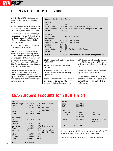# K. FINANCIAL REPORT 2000

In the fiscal year 2000 ILGA-Europe was involved in three partly externally funded projects:

ilga**europe activity report**

- ◗ "Stepping Stones and Roadblocks" in collaboration with UNITED Against Racism and Mobility International – EU funded
- ◗ "Eastern Europe-project" funded by the Open Society Institute (OSI), publication of the report *Equality for Lesbians and Gay Men – A Relevant Issue in the EU Accession Process*
- ◗ Core funding from the EU Commission (beginning 1 December 2000).

UNITED Against Racism dealt with the finances of the project "Stepping Stones and Road Blocks", and as the project was not concluded in 2000, there had not been any economical consequences for ILGA-Europe. The project closed in 2001 and ILGA-Europe's income and expenditure are included in the 2001 accounts.

The Eastern Europe project was not finished at the end of 2000, but in 2001. The account of this project (see box on the right) is part of ILGA-Europe's accounts for 2000 (below) where the following three relevant figures appear:

### **Accounts for the Eastern Europe project**

| <b>Result</b>              | € 320.85  | Reserved for the conclusion of the project 2001 |
|----------------------------|-----------|-------------------------------------------------|
| <b>TOTAL</b>               | 15.173,38 |                                                 |
| Administration             | 1.574,79  | Overhead to ILGA-Europe                         |
| Mailing                    | 3.240,97  |                                                 |
| Printing                   | 3.781,13  |                                                 |
| Legal consultant           | 1.080,32  | Partly in kind                                  |
| Authors                    | 4.146,35  | Partly in kind                                  |
| Accounting                 | 224,97    | In kind                                         |
| Co-ordination              | 1.124,85  | Partly in kind                                  |
| Expenses:                  |           |                                                 |
| <b>TOTAL</b>               | 15.494.23 |                                                 |
| In kind donations 3.776,46 |           | Authors etc. have donated part of their work    |
| ILGA-Europe                | 540,16    | Contribution from ILGA-Europe                   |
| <b>OSI</b>                 | 11.177,61 |                                                 |
| Income:                    |           |                                                 |
|                            |           |                                                 |

- ◗ ILGA-Europe's contribution: expenditure of € 540,16
- ◗ ILGA-Europe's overhead: income of € 1.574,79
- $\blacktriangleright$  The result of  $\in$  320,85 as a liability of ILGA-Europe to be used for finalising the project in 2001.

The core funding from the EU Commission only started on 1 December 2000. 30 % of the grant ( $\in$  64.886,28) was paid out to

ILGA-Europe, and only a small amount of it ( $\in$  1.335,29) was spent in 2000, mostly for participation in the December board meeting.

Expenditures related to the EU core funding must be accounted separately.

The rest of the EU money ( $\in$  63.550,99) can be found in the ILGA-Europe accounts as a liability, as it will be used in 2001 for the EU project.

# **ILGA-Europe's accounts for 2000 (in €)**

| Income:         |                 |       |                          |
|-----------------|-----------------|-------|--------------------------|
| Adm. EE-project | 1.574,79        |       | 15 % See box above       |
| Donations       | 8.206,62 81 %   |       |                          |
| Fees            | 315,06          | 3 %   | Voluntary                |
|                 |                 |       | membership fee           |
| Interest        | 53,28           | $1\%$ |                          |
| TOTAL           | 10.149,76 100 % |       |                          |
|                 |                 |       |                          |
| Expenditure:    |                 |       |                          |
| Mailing         | 1.412,19        | 17%   |                          |
| Bank fees &     |                 |       |                          |
| rate diff       | 357,73          | $4\%$ |                          |
| EE-project      |                 |       | 540,16 6 % See box above |
| Travel          | 4.310.61 51 %   |       |                          |
| Meetings        | 1.212,11        | 14 %  | See expenditure in       |
|                 |                 |       | EU project above         |
| Misc.           | 337,31 4 %      |       |                          |
| Telephone       | 335,84 4 %      |       |                          |
| <b>TOTAL</b>    | 8.505,95 100 %  |       |                          |
|                 |                 |       |                          |
| Result          | € 1.643,80      |       |                          |

| Assets:<br><b>Bank</b><br><b>SUM</b>     | 77.572,72<br>77.572,72           |                                   |
|------------------------------------------|----------------------------------|-----------------------------------|
| Liabilities:<br>EU-project<br>EE-project | 63.550,99<br>320,85<br>63.871.84 | See above<br>See above            |
| Capital:                                 | 13.700.89                        | i.e. ILGA-Europe's<br>own capital |
| <b>SUM</b>                               | € 77.572,72                      |                                   |

Outside these projects ILGA-Europe has had an income of  $\epsilon$  10.150 of which 81 % were donations mainly from individuals.

€ 8.506 have been spent, 65 % of this for travels and meetings.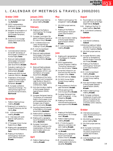**activity ilga** 

# L. CALENDAR OF MEETINGS & TRAVELS 2000/2001

### **October 2000**

- 8: ILGA-Europe Board meeting, **Bucharest**
- 23: OSCE Implementation Meeting on Human Dimension Issues, **Warsaw**
- 24: Reception of the Platform of European Social NGOs in the European Parliament, **Strasbourg**
- 30: ECAS Forum *Giving legal assistance to citizens across borders,* **Paris**

### **November**

- 4: Commemorative Ceremony for the 50th anniversary of the European Convention on Human Rights, **Rome**
- 7: Biannual meeting between the European Commission and the Platform of European Social NGOs, **Brussels**
- 7: Evaluation meeting for the *Stepping Stones and Roadblocks* projects, **Brussels**
- 8: Meeting with MEP Michael Cashman (PSE/UK), **Brussels**
- 9: Presentation of the project *Combating Violence against Lesbians* in the European Parliament, **Brussels**
- 24-26: European conference *Intercultural Exchange – Pioneering Actions against Various Forms of Discrimination,* **Bad Honnef**

### **December**

- 1: Platform Steering Group meeting, **Brussels**
- 6-7:*Meeting of Civil Society for a Europe of Democracy and Solidarity,* **Nice**
- 9-10: ILGA-Europe Board meeting, **Brussels**
- 11-12: Interviews with candidates for staff positions, **Brussels**
- 13: 2nd European Union Human Rights Forum, **Paris**
- 14: Meeting with representatives of the French EU Presidency, **Paris**
- 19: Meeting of the Platform working group "social policy/anti-discrimination", **Brussels**

### **January 2001**

29: SOLIDAR project steering group meeting, **Brussels**

### **February**

- 15: Meeting of the Platform working group "EU Enlargement", **Brussels**
- 21: European Commission Stagiaire Conference *Towards an EU Asylum Policy?,* **Brussels**
- 22-23: Conference *Social and Labour Market Policies: Investing in Quality,* **Brussels**
- 24-25: ILGA-Europe Board meeting, **Brussels**
- 27: Biannual meeting between the European Commission and the Platform of European Social NGOs, **Brussels**

### **March**

- 9: Biannual Meeting between the European Trade Union Confederation (ETUC) and the Platform of European Social NGOs, **Brussels**
- 9-10: Conference of the Centre for Research and Comparative Legal Studies on Sexual Orientation and Gender Identity (CERSGOSIG), **Turin**
- 13: Anti-discrimination meeting of the European Network Against Racism (ENAR), **Brussels**
- 21: European Parliament hearing *The situation of Fundamental Rights in the European Union and the establishment of the European area of freedom, security and justice,* **Brussels**
- 21: Founding General Assembly of the Platform of European Social NGOs, **Stockholm**
- 22: Platform/NGO conference *Forward Europe,* **Stockholm**
- 22: Meeting with a representative of the Swedish EU Presidency, **Stockholm** 26: European Commission
- information meeting on the implementation of the antidiscrimination action programme, **Brussels**

### **April**

27: Platform Steering Group meeting, **Brussels**

### **May**

- 4: Platform working group "EU enlargement" meeting, **Brussels**
- 7: SOLIDAR project seminar, **Bolzano**
- 7: Meeting of the Platform working group "social policy/anti-discrimination", **Brussels**
- 10: Anti-discrimination meeting of the European Network Against Racism (ENAR), **Brussels**
- 26-27: ILGA-Europe Board meeting, **Brussels**

### **June**

- 8: Meeting with representatives of the Belgian EU Presidency, **Brussels**
- 19: OSCE Supplementary Human Dimension meeting "Promoting Tolerance and Non-discrimination", **Vienna**
- 24: Europride Colloquium *Lesbians and Gay Men and the European Union,* **Vienna**
- 25: SOLIDAR seminar, **Vienna**
- 26: EU NGO Human Rights Contact Group meeting, **Brussels**
- 27: Press conference in the European Parliament, **Brussels**
- 27: Official opening of the ILGA-Europe office, **Brussels**
- 28: European Parliament *Hearing EU Enlargement – A Gay Perspective,* **Brussels**
- 29: Meeting of the Platform informal working group on equal opportunities, **Brussels**

### **July**

- 5: Meeting of the Platform working group "EU Enlargement", **Brussels**
- 6: Platform Steering Group meeting, **Brussels**
- 14-15: 1st ILGA-Europe EU national co-ordination network meeting, **Brussels**
- 16: ILGA-Europe Board meeting, **Brussels**
- 16: Meeting with a representative of Commissioner António Vitorino, **Brussels**
- 21-28 Université d'été euroméditerranéenne des homosexualités, **Marseilles**

### **August**

- 6: Round-table on civil society and LGBT NGOs at the Pepsi Sziget Festival, **Budapest**
- 9-10: Meeting of the Pink Triangle Coalition, **New York**
- 28-31: ILGA World Conference, **Oakland**

### **September**

- 1: ILGA World Conference, **Oakland**
- 3-9:Working meeting of lesbian activists from the countries of former Yugoslavia, **Rovinj**
- 12: SOLIDAR project seminar, **Bonn**
- 14: European Women's Lobby seminar on *Strengthening Women's Rights in the Accession Process,* **Brussels**
- 17: Meeting of the Platform working group "social policy/anti-discrimination", **Brussels**
- 22-23: ILGA-Europe Board meeting, **Brussels**
- 25: EU NGO Human Rights Contact Group meeting, **Brussels**
- 28: Anti-discrimination meeting of the European Network Against Racism (ENAR), **Brussels**
- 28: Platform Steering Group meeting, **Brussels**
- 29-30: European conference *Development of quality standards in the recording, handling and mediation of discrimination within networks,* **Duisburg**

### **October**

- 10: International symposium *Labour Market and Discrimination,* **Vienna**
- 11: SOLIDAR project steering group meeting, **Paris**
- 12: SOLIDAR project seminar, **Paris**
- 18-19: European Commission conference on the Community action programme to combat discrimination, **Brussels**
- 23: ILGA-Europe Board meeting, **Rotterdam**